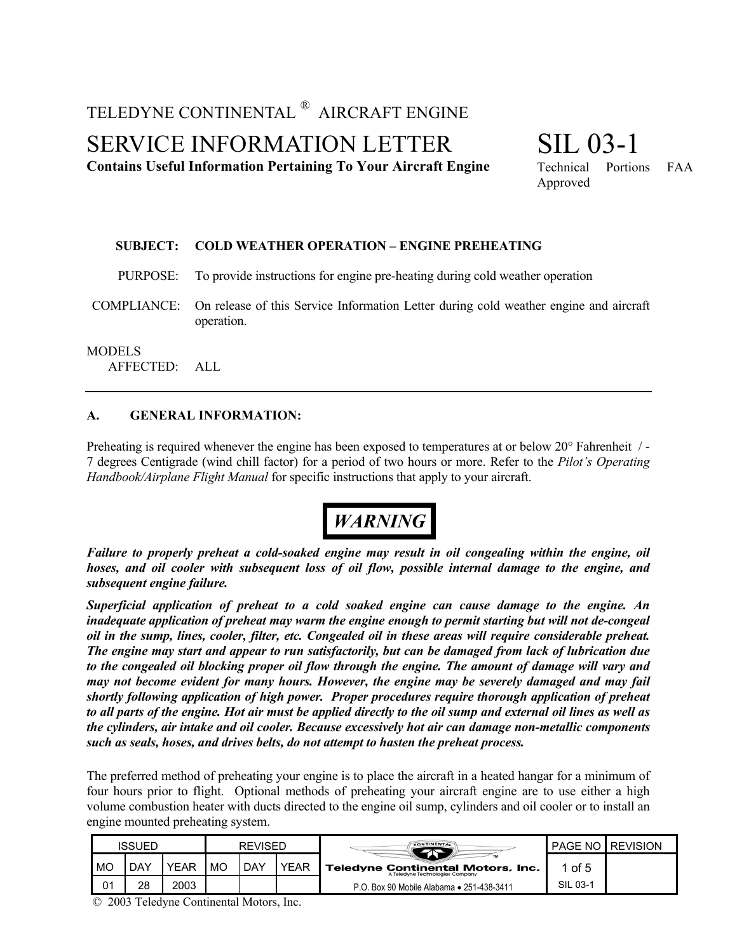### TELEDYNE CONTINENTAL ® AIRCRAFT ENGINE

SERVICE INFORMATION LETTER

**Contains Useful Information Pertaining To Your Aircraft Engine**

# SIL 03-1

Technical Portions FAA Approved

#### **SUBJECT: COLD WEATHER OPERATION – ENGINE PREHEATING**

PURPOSE: To provide instructions for engine pre-heating during cold weather operation

COMPLIANCE: On release of this Service Information Letter during cold weather engine and aircraft operation.

#### **MODELS**

AFFECTED: ALL

#### **A. GENERAL INFORMATION:**

Preheating is required whenever the engine has been exposed to temperatures at or below 20° Fahrenheit / - 7 degrees Centigrade (wind chill factor) for a period of two hours or more. Refer to the *Pilot's Operating Handbook/Airplane Flight Manual* for specific instructions that apply to your aircraft.



*Failure to properly preheat a cold-soaked engine may result in oil congealing within the engine, oil hoses, and oil cooler with subsequent loss of oil flow, possible internal damage to the engine, and subsequent engine failure.*

*Superficial application of preheat to a cold soaked engine can cause damage to the engine. An inadequate application of preheat may warm the engine enough to permit starting but will not de-congeal oil in the sump, lines, cooler, filter, etc. Congealed oil in these areas will require considerable preheat. The engine may start and appear to run satisfactorily, but can be damaged from lack of lubrication due to the congealed oil blocking proper oil flow through the engine. The amount of damage will vary and may not become evident for many hours. However, the engine may be severely damaged and may fail shortly following application of high power. Proper procedures require thorough application of preheat to all parts of the engine. Hot air must be applied directly to the oil sump and external oil lines as well as the cylinders, air intake and oil cooler. Because excessively hot air can damage non-metallic components such as seals, hoses, and drives belts, do not attempt to hasten the preheat process.*

The preferred method of preheating your engine is to place the aircraft in a heated hangar for a minimum of four hours prior to flight. Optional methods of preheating your aircraft engine are to use either a high volume combustion heater with ducts directed to the engine oil sump, cylinders and oil cooler or to install an engine mounted preheating system.

|    | <b>ISSUED</b> |      | <b>REVISED</b> |     |             | <b>CONTINENTAL</b>                                                          | <b>PAGE NO</b> | <b>REVISION</b> |
|----|---------------|------|----------------|-----|-------------|-----------------------------------------------------------------------------|----------------|-----------------|
| MO | DAY           | YEAR | МC             | DAY | <b>YEAR</b> | <b>Teledyne Continental Motors, Inc.</b><br>A Teledyne Technologies Company | of 5           |                 |
| 01 | 28            | 2003 |                |     |             | P.O. Box 90 Mobile Alabama • 251-438-3411                                   | SIL 03-1       |                 |

© 2003 Teledyne Continental Motors, Inc.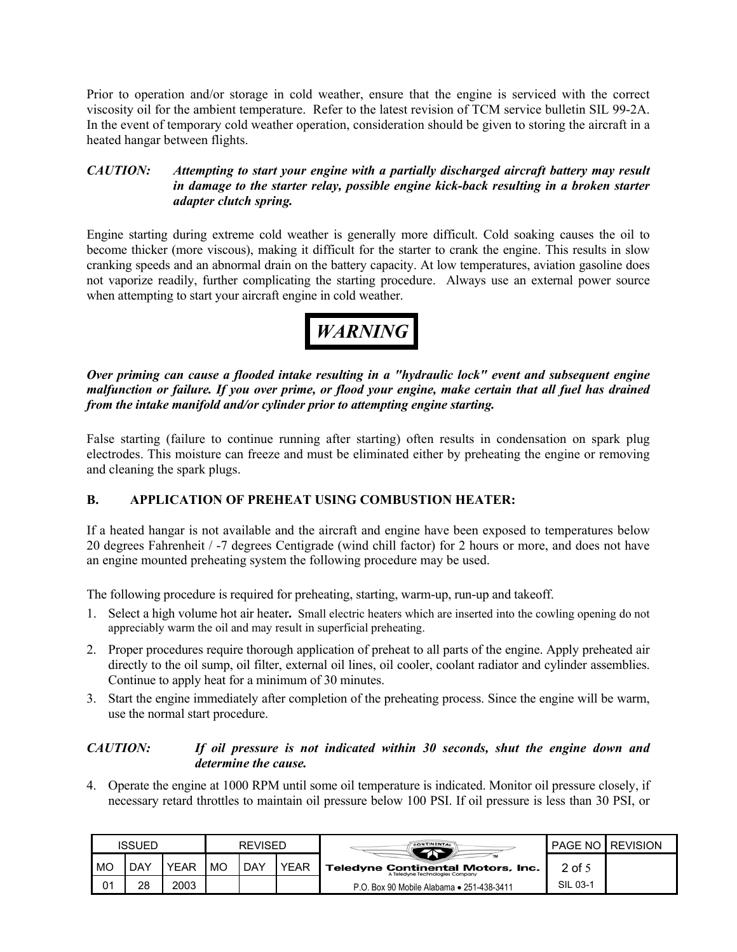Prior to operation and/or storage in cold weather, ensure that the engine is serviced with the correct viscosity oil for the ambient temperature. Refer to the latest revision of TCM service bulletin SIL 99-2A. In the event of temporary cold weather operation, consideration should be given to storing the aircraft in a heated hangar between flights.

#### *CAUTION: Attempting to start your engine with a partially discharged aircraft battery may result in damage to the starter relay, possible engine kick-back resulting in a broken starter adapter clutch spring.*

Engine starting during extreme cold weather is generally more difficult. Cold soaking causes the oil to become thicker (more viscous), making it difficult for the starter to crank the engine. This results in slow cranking speeds and an abnormal drain on the battery capacity. At low temperatures, aviation gasoline does not vaporize readily, further complicating the starting procedure. Always use an external power source when attempting to start your aircraft engine in cold weather.



*Over priming can cause a flooded intake resulting in a "hydraulic lock" event and subsequent engine malfunction or failure. If you over prime, or flood your engine, make certain that all fuel has drained from the intake manifold and/or cylinder prior to attempting engine starting.*

False starting (failure to continue running after starting) often results in condensation on spark plug electrodes. This moisture can freeze and must be eliminated either by preheating the engine or removing and cleaning the spark plugs.

#### **B. APPLICATION OF PREHEAT USING COMBUSTION HEATER:**

If a heated hangar is not available and the aircraft and engine have been exposed to temperatures below 20 degrees Fahrenheit / -7 degrees Centigrade (wind chill factor) for 2 hours or more, and does not have an engine mounted preheating system the following procedure may be used.

The following procedure is required for preheating, starting, warm-up, run-up and takeoff.

- 1. Select a high volume hot air heater**.** Small electric heaters which are inserted into the cowling opening do not appreciably warm the oil and may result in superficial preheating.
- 2. Proper procedures require thorough application of preheat to all parts of the engine. Apply preheated air directly to the oil sump, oil filter, external oil lines, oil cooler, coolant radiator and cylinder assemblies. Continue to apply heat for a minimum of 30 minutes.
- 3. Start the engine immediately after completion of the preheating process. Since the engine will be warm, use the normal start procedure.

#### *CAUTION: If oil pressure is not indicated within 30 seconds, shut the engine down and determine the cause.*

4. Operate the engine at 1000 RPM until some oil temperature is indicated. Monitor oil pressure closely, if necessary retard throttles to maintain oil pressure below 100 PSI. If oil pressure is less than 30 PSI, or

|    | ISSUED |             | REVISED   |     |             | <b>CONTINENTAL</b>                                                          | <b>PAGE NO I</b> | <b>REVISION</b> |
|----|--------|-------------|-----------|-----|-------------|-----------------------------------------------------------------------------|------------------|-----------------|
| MO | DAY    | <b>YEAR</b> | <b>MO</b> | DAY | <b>YEAR</b> | <b>Teledyne Continental Motors, Inc.</b><br>A Teledyne Technologies Company | 2 of 5           |                 |
| 01 | 28     | 2003        |           |     |             | P.O. Box 90 Mobile Alabama • 251-438-3411                                   | SIL 03-1         |                 |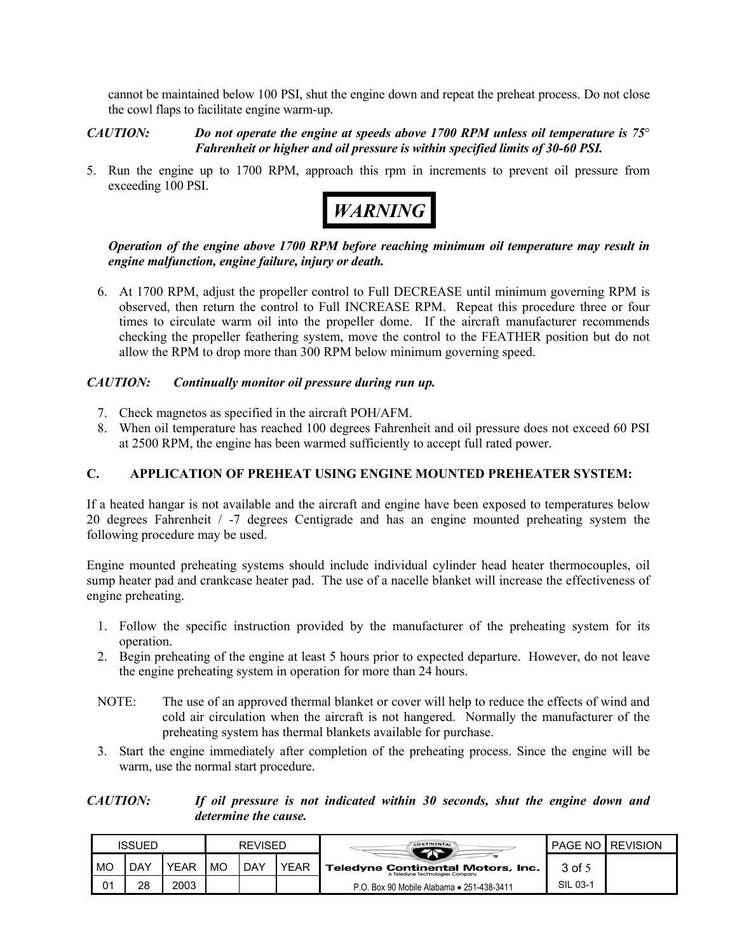cannot be maintained below 100 PSI, shut the engine down and repeat the preheat process. Do not close the cowl flaps to facilitate engine warm-up.

*CAUTION: Do not operate the engine at speeds above 1700 RPM unless oil temperature is 75*° *Fahrenheit or higher and oil pressure is within specified limits of 30-60 PSI.*

5. Run the engine up to 1700 RPM, approach this rpm in increments to prevent oil pressure from exceeding 100 PSI.



#### *Operation of the engine above 1700 RPM before reaching minimum oil temperature may result in engine malfunction, engine failure, injury or death.*

6. At 1700 RPM, adjust the propeller control to Full DECREASE until minimum governing RPM is observed, then return the control to Full INCREASE RPM. Repeat this procedure three or four times to circulate warm oil into the propeller dome. If the aircraft manufacturer recommends checking the propeller feathering system, move the control to the FEATHER position but do not allow the RPM to drop more than 300 RPM below minimum governing speed.

#### *CAUTION: Continually monitor oil pressure during run up.*

- 7. Check magnetos as specified in the aircraft POH/AFM.
- 8. When oil temperature has reached 100 degrees Fahrenheit and oil pressure does not exceed 60 PSI at 2500 RPM, the engine has been warmed sufficiently to accept full rated power.

#### **C. APPLICATION OF PREHEAT USING ENGINE MOUNTED PREHEATER SYSTEM:**

If a heated hangar is not available and the aircraft and engine have been exposed to temperatures below 20 degrees Fahrenheit / -7 degrees Centigrade and has an engine mounted preheating system the following procedure may be used.

Engine mounted preheating systems should include individual cylinder head heater thermocouples, oil sump heater pad and crankcase heater pad. The use of a nacelle blanket will increase the effectiveness of engine preheating.

- 1. Follow the specific instruction provided by the manufacturer of the preheating system for its operation.
- 2. Begin preheating of the engine at least 5 hours prior to expected departure. However, do not leave the engine preheating system in operation for more than 24 hours.
- NOTE: The use of an approved thermal blanket or cover will help to reduce the effects of wind and cold air circulation when the aircraft is not hangered. Normally the manufacturer of the preheating system has thermal blankets available for purchase.
- 3. Start the engine immediately after completion of the preheating process. Since the engine will be warm, use the normal start procedure.

*CAUTION: If oil pressure is not indicated within 30 seconds, shut the engine down and determine the cause.*

|    | ISSUED |      | REVISED |     |             | CONTINENTAL                                                                 | <b>PAGE NO</b> | <b>REVISION</b> |
|----|--------|------|---------|-----|-------------|-----------------------------------------------------------------------------|----------------|-----------------|
| MO | DAY    | YEAR | MO      | DAY | <b>YEAR</b> | <b>Teledyne Continental Motors, Inc.</b><br>A Teledyne Technologies Company | 3 of 5         |                 |
| 01 | 28     | 2003 |         |     |             | P.O. Box 90 Mobile Alabama • 251-438-3411                                   | SIL 03-1       |                 |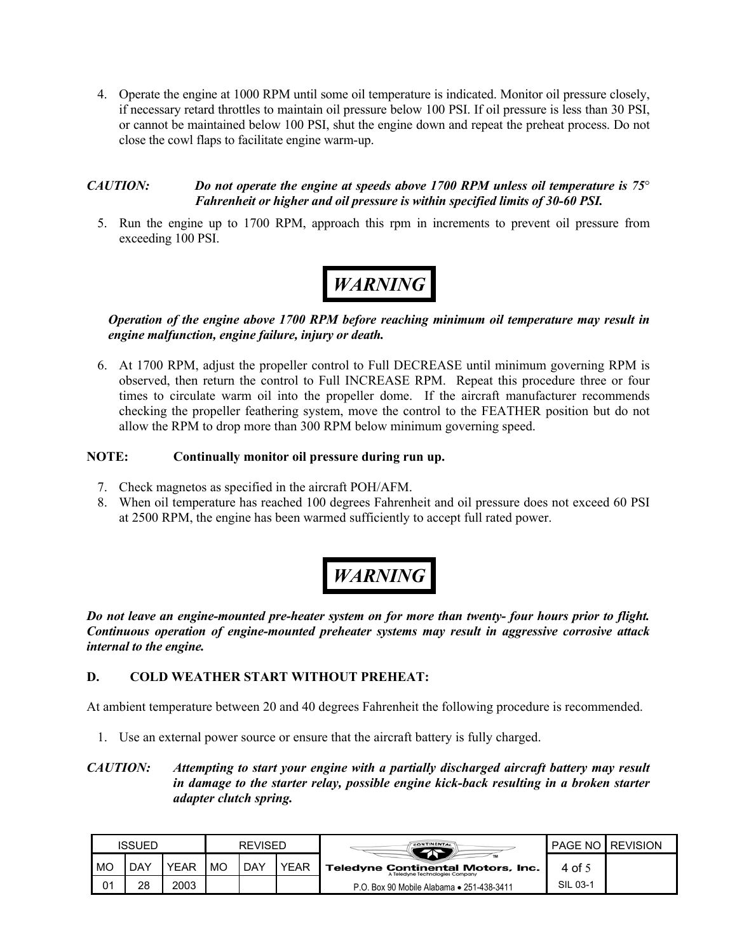4. Operate the engine at 1000 RPM until some oil temperature is indicated. Monitor oil pressure closely, if necessary retard throttles to maintain oil pressure below 100 PSI. If oil pressure is less than 30 PSI, or cannot be maintained below 100 PSI, shut the engine down and repeat the preheat process. Do not close the cowl flaps to facilitate engine warm-up.

#### *CAUTION: Do not operate the engine at speeds above 1700 RPM unless oil temperature is 75*° *Fahrenheit or higher and oil pressure is within specified limits of 30-60 PSI.*

5. Run the engine up to 1700 RPM, approach this rpm in increments to prevent oil pressure from exceeding 100 PSI.

# *WARNING*

*Operation of the engine above 1700 RPM before reaching minimum oil temperature may result in engine malfunction, engine failure, injury or death.*

6. At 1700 RPM, adjust the propeller control to Full DECREASE until minimum governing RPM is observed, then return the control to Full INCREASE RPM. Repeat this procedure three or four times to circulate warm oil into the propeller dome. If the aircraft manufacturer recommends checking the propeller feathering system, move the control to the FEATHER position but do not allow the RPM to drop more than 300 RPM below minimum governing speed.

#### **NOTE: Continually monitor oil pressure during run up.**

- 7. Check magnetos as specified in the aircraft POH/AFM.
- 8. When oil temperature has reached 100 degrees Fahrenheit and oil pressure does not exceed 60 PSI at 2500 RPM, the engine has been warmed sufficiently to accept full rated power.

## *WARNING*

*Do not leave an engine-mounted pre-heater system on for more than twenty- four hours prior to flight. Continuous operation of engine-mounted preheater systems may result in aggressive corrosive attack internal to the engine.*

#### **D. COLD WEATHER START WITHOUT PREHEAT:**

At ambient temperature between 20 and 40 degrees Fahrenheit the following procedure is recommended.

1. Use an external power source or ensure that the aircraft battery is fully charged.

#### *CAUTION: Attempting to start your engine with a partially discharged aircraft battery may result in damage to the starter relay, possible engine kick-back resulting in a broken starter adapter clutch spring.*

| ISSUED |  |     |      | REVISED   |     | <b>CONTINENTAL</b> |                                                                             | <b>PAGE NO LREVISION</b> |  |
|--------|--|-----|------|-----------|-----|--------------------|-----------------------------------------------------------------------------|--------------------------|--|
| MO     |  | DAY | YEAR | <b>MO</b> | DAY | YEAR               | <b>Teledyne Continental Motors, Inc.</b><br>A Teledyne Technologies Company | 4 of 5                   |  |
| 01     |  | 28  | 2003 |           |     |                    | P.O. Box 90 Mobile Alabama • 251-438-3411                                   | SIL 03-1                 |  |